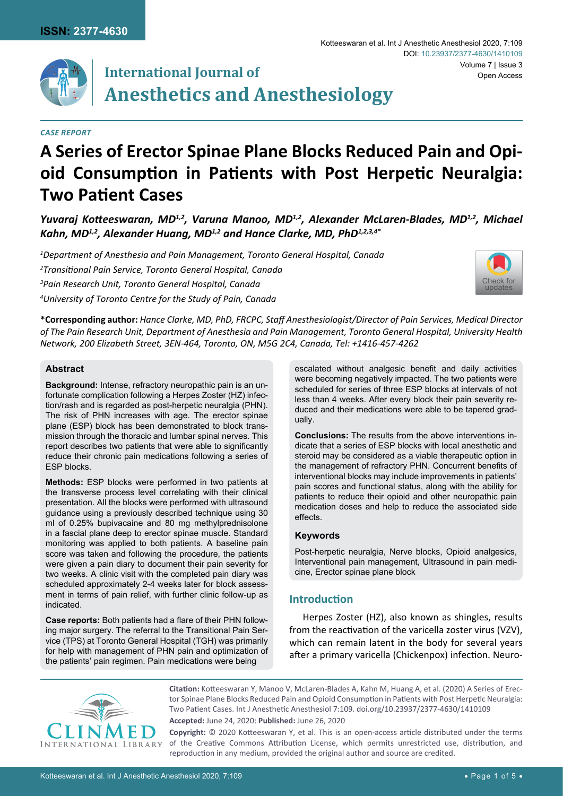

# **International Journal of Anesthetics and Anesthesiology**

## *Case Report*

# **A Series of Erector Spinae Plane Blocks Reduced Pain and Opioid Consumption in Patients with Post Herpetic Neuralgia: Two Patient Cases**

*Yuvaraj Kotteeswaran, MD1,2, Varuna Manoo, MD1,2, Alexander McLaren-Blades, MD1,2, Michael Kahn, MD1,2, Alexander Huang, MD1,2 and Hance Clarke, MD, PhD1,2,3,4\**

 *Department of Anesthesia and Pain Management, Toronto General Hospital, Canada Transitional Pain Service, Toronto General Hospital, Canada Pain Research Unit, Toronto General Hospital, Canada University of Toronto Centre for the Study of Pain, Canada*



**\*Corresponding author:** *Hance Clarke, MD, PhD, FRCPC, Staff Anesthesiologist/Director of Pain Services, Medical Director of The Pain Research Unit, Department of Anesthesia and Pain Management, Toronto General Hospital, University Health Network, 200 Elizabeth Street, 3EN-464, Toronto, ON, M5G 2C4, Canada, Tel: +1416-457-4262*

## **Abstract**

**Background:** Intense, refractory neuropathic pain is an unfortunate complication following a Herpes Zoster (HZ) infection/rash and is regarded as post-herpetic neuralgia (PHN). The risk of PHN increases with age. The erector spinae plane (ESP) block has been demonstrated to block transmission through the thoracic and lumbar spinal nerves. This report describes two patients that were able to significantly reduce their chronic pain medications following a series of ESP blocks.

**Methods:** ESP blocks were performed in two patients at the transverse process level correlating with their clinical presentation. All the blocks were performed with ultrasound guidance using a previously described technique using 30 ml of 0.25% bupivacaine and 80 mg methylprednisolone in a fascial plane deep to erector spinae muscle. Standard monitoring was applied to both patients. A baseline pain score was taken and following the procedure, the patients were given a pain diary to document their pain severity for two weeks. A clinic visit with the completed pain diary was scheduled approximately 2-4 weeks later for block assessment in terms of pain relief, with further clinic follow-up as indicated.

**Case reports:** Both patients had a flare of their PHN following major surgery. The referral to the Transitional Pain Service (TPS) at Toronto General Hospital (TGH) was primarily for help with management of PHN pain and optimization of the patients' pain regimen. Pain medications were being

escalated without analgesic benefit and daily activities were becoming negatively impacted. The two patients were scheduled for series of three ESP blocks at intervals of not less than 4 weeks. After every block their pain severity reduced and their medications were able to be tapered gradually.

**Conclusions:** The results from the above interventions indicate that a series of ESP blocks with local anesthetic and steroid may be considered as a viable therapeutic option in the management of refractory PHN. Concurrent benefits of interventional blocks may include improvements in patients' pain scores and functional status, along with the ability for patients to reduce their opioid and other neuropathic pain medication doses and help to reduce the associated side effects.

## **Keywords**

Post-herpetic neuralgia, Nerve blocks, Opioid analgesics, Interventional pain management, Ultrasound in pain medicine, Erector spinae plane block

# **Introduction**

Herpes Zoster (HZ), also known as shingles, results from the reactivation of the varicella zoster virus (VZV), which can remain latent in the body for several years after a primary varicella (Chickenpox) infection. Neuro-



**Citation:** Kotteeswaran Y, Manoo V, McLaren-Blades A, Kahn M, Huang A, et al. (2020) A Series of Erector Spinae Plane Blocks Reduced Pain and Opioid Consumption in Patients with Post Herpetic Neuralgia: Two Patient Cases. Int J Anesthetic Anesthesiol 7:109. [doi.org/10.23937/2377-4630/1410109](https://doi.org/10.23937/2377-4630/1410109)

**Accepted:** June 24, 2020: **Published:** June 26, 2020

**Copyright:** © 2020 Kotteeswaran Y, et al. This is an open-access article distributed under the terms of the Creative Commons Attribution License, which permits unrestricted use, distribution, and reproduction in any medium, provided the original author and source are credited.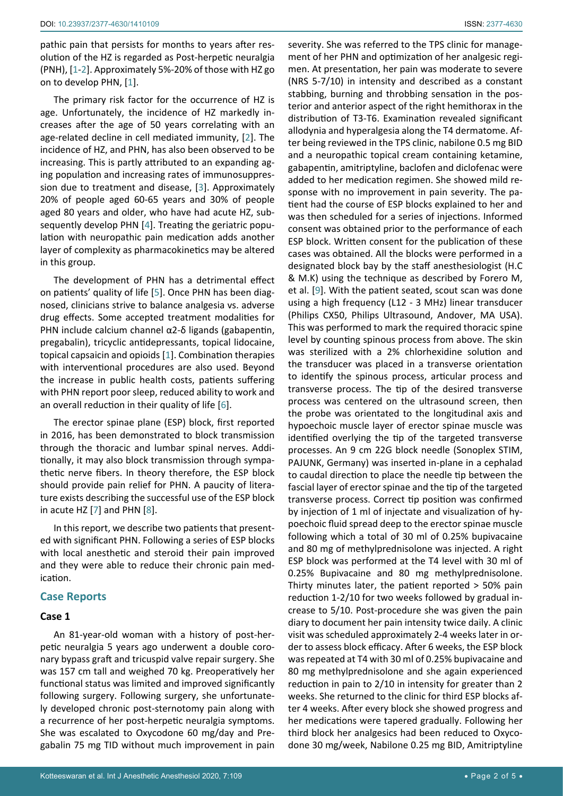pathic pain that persists for months to years after resolution of the HZ is regarded as Post-herpetic neuralgia (PNH), [\[1-](#page-3-0)[2\]](#page-3-1). Approximately 5%-20% of those with HZ go on to develop PHN, [\[1\]](#page-3-0).

The primary risk factor for the occurrence of HZ is age. Unfortunately, the incidence of HZ markedly increases after the age of 50 years correlating with an age-related decline in cell mediated immunity, [\[2\]](#page-3-1). The incidence of HZ, and PHN, has also been observed to be increasing. This is partly attributed to an expanding aging population and increasing rates of immunosuppression due to treatment and disease, [[3](#page-3-2)]. Approximately 20% of people aged 60-65 years and 30% of people aged 80 years and older, who have had acute HZ, subsequently develop PHN [[4\]](#page-4-1). Treating the geriatric population with neuropathic pain medication adds another layer of complexity as pharmacokinetics may be altered in this group.

The development of PHN has a detrimental effect on patients' quality of life [\[5\]](#page-4-2). Once PHN has been diagnosed, clinicians strive to balance analgesia vs. adverse drug effects. Some accepted treatment modalities for PHN include calcium channel α2-δ ligands (gabapentin, pregabalin), tricyclic antidepressants, topical lidocaine, topical capsaicin and opioids [[1](#page-3-0)]. Combination therapies with interventional procedures are also used. Beyond the increase in public health costs, patients suffering with PHN report poor sleep, reduced ability to work and an overall reduction in their quality of life [[6](#page-4-3)].

The erector spinae plane (ESP) block, first reported in 2016, has been demonstrated to block transmission through the thoracic and lumbar spinal nerves. Additionally, it may also block transmission through sympathetic nerve fibers. In theory therefore, the ESP block should provide pain relief for PHN. A paucity of literature exists describing the successful use of the ESP block in acute HZ [[7](#page-4-4)] and PHN [[8](#page-4-5)].

In this report, we describe two patients that presented with significant PHN. Following a series of ESP blocks with local anesthetic and steroid their pain improved and they were able to reduce their chronic pain medication.

## **Case Reports**

### **Case 1**

An 81-year-old woman with a history of post-herpetic neuralgia 5 years ago underwent a double coronary bypass graft and tricuspid valve repair surgery. She was 157 cm tall and weighed 70 kg. Preoperatively her functional status was limited and improved significantly following surgery. Following surgery, she unfortunately developed chronic post-sternotomy pain along with a recurrence of her post-herpetic neuralgia symptoms. She was escalated to Oxycodone 60 mg/day and Pregabalin 75 mg TID without much improvement in pain severity. She was referred to the TPS clinic for management of her PHN and optimization of her analgesic regimen. At presentation, her pain was moderate to severe (NRS 5-7/10) in intensity and described as a constant stabbing, burning and throbbing sensation in the posterior and anterior aspect of the right hemithorax in the distribution of T3-T6. Examination revealed significant allodynia and hyperalgesia along the T4 dermatome. After being reviewed in the TPS clinic, nabilone 0.5 mg BID and a neuropathic topical cream containing ketamine, gabapentin, amitriptyline, baclofen and diclofenac were added to her medication regimen. She showed mild response with no improvement in pain severity. The patient had the course of ESP blocks explained to her and was then scheduled for a series of injections. Informed consent was obtained prior to the performance of each ESP block. Written consent for the publication of these cases was obtained. All the blocks were performed in a designated block bay by the staff anesthesiologist (H.C & M.K) using the technique as described by Forero M, et al. [\[9\]](#page-4-0). With the patient seated, scout scan was done using a high frequency (L12 - 3 MHz) linear transducer (Philips CX50, Philips Ultrasound, Andover, MA USA). This was performed to mark the required thoracic spine level by counting spinous process from above. The skin was sterilized with a 2% chlorhexidine solution and the transducer was placed in a transverse orientation to identify the spinous process, articular process and transverse process. The tip of the desired transverse process was centered on the ultrasound screen, then the probe was orientated to the longitudinal axis and hypoechoic muscle layer of erector spinae muscle was identified overlying the tip of the targeted transverse processes. An 9 cm 22G block needle (Sonoplex STIM, PAJUNK, Germany) was inserted in-plane in a cephalad to caudal direction to place the needle tip between the fascial layer of erector spinae and the tip of the targeted transverse process. Correct tip position was confirmed by injection of 1 ml of injectate and visualization of hypoechoic fluid spread deep to the erector spinae muscle following which a total of 30 ml of 0.25% bupivacaine and 80 mg of methylprednisolone was injected. A right ESP block was performed at the T4 level with 30 ml of 0.25% Bupivacaine and 80 mg methylprednisolone. Thirty minutes later, the patient reported > 50% pain reduction 1-2/10 for two weeks followed by gradual increase to 5/10. Post-procedure she was given the pain diary to document her pain intensity twice daily. A clinic visit was scheduled approximately 2-4 weeks later in order to assess block efficacy. After 6 weeks, the ESP block was repeated at T4 with 30 ml of 0.25% bupivacaine and 80 mg methylprednisolone and she again experienced reduction in pain to 2/10 in intensity for greater than 2 weeks. She returned to the clinic for third ESP blocks after 4 weeks. After every block she showed progress and her medications were tapered gradually. Following her third block her analgesics had been reduced to Oxycodone 30 mg/week, Nabilone 0.25 mg BID, Amitriptyline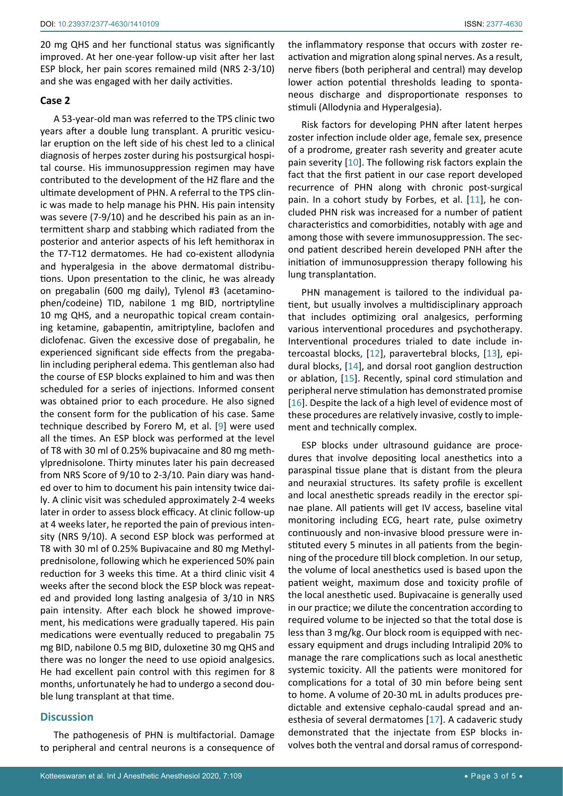20 mg QHS and her functional status was significantly improved. At her one-year follow-up visit after her last ESP block, her pain scores remained mild (NRS 2-3/10) and she was engaged with her daily activities.

# **Case 2**

A 53-year-old man was referred to the TPS clinic two years after a double lung transplant. A pruritic vesicular eruption on the left side of his chest led to a clinical diagnosis of herpes zoster during his postsurgical hospital course. His immunosuppression regimen may have contributed to the development of the HZ flare and the ultimate development of PHN. A referral to the TPS clinic was made to help manage his PHN. His pain intensity was severe (7-9/10) and he described his pain as an intermittent sharp and stabbing which radiated from the posterior and anterior aspects of his left hemithorax in the T7-T12 dermatomes. He had co-existent allodynia and hyperalgesia in the above dermatomal distributions. Upon presentation to the clinic, he was already on pregabalin (600 mg daily), Tylenol #3 (acetaminophen/codeine) TID, nabilone 1 mg BID, nortriptyline 10 mg QHS, and a neuropathic topical cream containing ketamine, gabapentin, amitriptyline, baclofen and diclofenac. Given the excessive dose of pregabalin, he experienced significant side effects from the pregabalin including peripheral edema. This gentleman also had the course of ESP blocks explained to him and was then scheduled for a series of injections. Informed consent was obtained prior to each procedure. He also signed the consent form for the publication of his case. Same technique described by Forero M, et al. [[9](#page-4-0)] were used all the times. An ESP block was performed at the level of T8 with 30 ml of 0.25% bupivacaine and 80 mg methylprednisolone. Thirty minutes later his pain decreased from NRS Score of 9/10 to 2-3/10. Pain diary was handed over to him to document his pain intensity twice daily. A clinic visit was scheduled approximately 2-4 weeks later in order to assess block efficacy. At clinic follow-up at 4 weeks later, he reported the pain of previous intensity (NRS 9/10). A second ESP block was performed at T8 with 30 ml of 0.25% Bupivacaine and 80 mg Methylprednisolone, following which he experienced 50% pain reduction for 3 weeks this time. At a third clinic visit 4 weeks after the second block the ESP block was repeated and provided long lasting analgesia of 3/10 in NRS pain intensity. After each block he showed improvement, his medications were gradually tapered. His pain medications were eventually reduced to pregabalin 75 mg BID, nabilone 0.5 mg BID, duloxetine 30 mg QHS and there was no longer the need to use opioid analgesics. He had excellent pain control with this regimen for 8 months, unfortunately he had to undergo a second double lung transplant at that time.

# **Discussion**

The pathogenesis of PHN is multifactorial. Damage to peripheral and central neurons is a consequence of the inflammatory response that occurs with zoster reactivation and migration along spinal nerves. As a result, nerve fibers (both peripheral and central) may develop lower action potential thresholds leading to spontaneous discharge and disproportionate responses to stimuli (Allodynia and Hyperalgesia).

Risk factors for developing PHN after latent herpes zoster infection include older age, female sex, presence of a prodrome, greater rash severity and greater acute pain severity [[10](#page-4-6)]. The following risk factors explain the fact that the first patient in our case report developed recurrence of PHN along with chronic post-surgical pain. In a cohort study by Forbes, et al. [[11\]](#page-4-7), he concluded PHN risk was increased for a number of patient characteristics and comorbidities, notably with age and among those with severe immunosuppression. The second patient described herein developed PNH after the initiation of immunosuppression therapy following his lung transplantation.

PHN management is tailored to the individual patient, but usually involves a multidisciplinary approach that includes optimizing oral analgesics, performing various interventional procedures and psychotherapy. Interventional procedures trialed to date include intercoastal blocks, [[12](#page-4-8)], paravertebral blocks, [[13\]](#page-4-9), epidural blocks, [\[14](#page-4-10)], and dorsal root ganglion destruction or ablation, [[15\]](#page-4-11). Recently, spinal cord stimulation and peripheral nerve stimulation has demonstrated promise [\[16](#page-4-12)]. Despite the lack of a high level of evidence most of these procedures are relatively invasive, costly to implement and technically complex.

ESP blocks under ultrasound guidance are procedures that involve depositing local anesthetics into a paraspinal tissue plane that is distant from the pleura and neuraxial structures. Its safety profile is excellent and local anesthetic spreads readily in the erector spinae plane. All patients will get IV access, baseline vital monitoring including ECG, heart rate, pulse oximetry continuously and non-invasive blood pressure were instituted every 5 minutes in all patients from the beginning of the procedure till block completion. In our setup, the volume of local anesthetics used is based upon the patient weight, maximum dose and toxicity profile of the local anesthetic used. Bupivacaine is generally used in our practice; we dilute the concentration according to required volume to be injected so that the total dose is less than 3 mg/kg. Our block room is equipped with necessary equipment and drugs including Intralipid 20% to manage the rare complications such as local anesthetic systemic toxicity. All the patients were monitored for complications for a total of 30 min before being sent to home. A volume of 20-30 mL in adults produces predictable and extensive cephalo-caudal spread and anesthesia of several dermatomes [[17](#page-4-13)]. A cadaveric study demonstrated that the injectate from ESP blocks involves both the ventral and dorsal ramus of correspond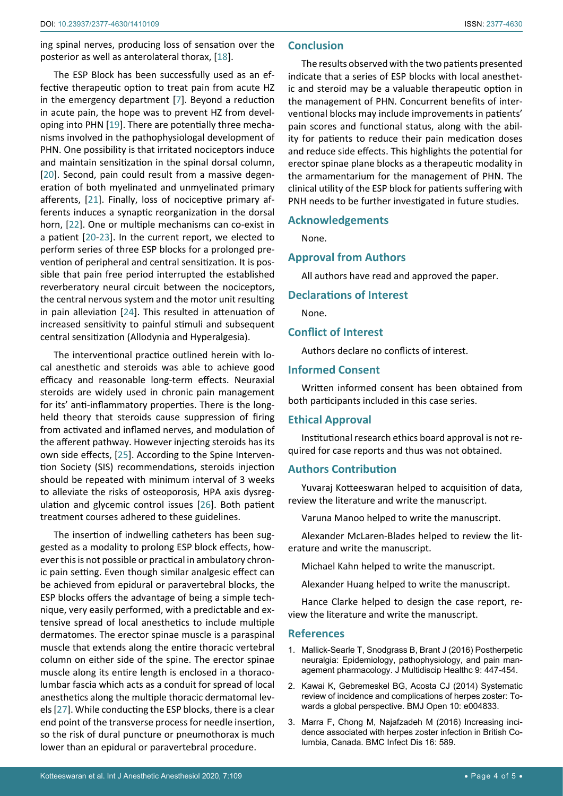ing spinal nerves, producing loss of sensation over the posterior as well as anterolateral thorax, [[18\]](#page-4-14).

The ESP Block has been successfully used as an effective therapeutic option to treat pain from acute HZ in the emergency department [\[7\]](#page-4-4). Beyond a reduction in acute pain, the hope was to prevent HZ from developing into PHN [\[19\]](#page-4-15). There are potentially three mechanisms involved in the pathophysiologal development of PHN. One possibility is that irritated nociceptors induce and maintain sensitization in the spinal dorsal column, [[20](#page-4-16)]. Second, pain could result from a massive degeneration of both myelinated and unmyelinated primary afferents, [[21](#page-4-17)]. Finally, loss of nociceptive primary afferents induces a synaptic reorganization in the dorsal horn, [[22\]](#page-4-18). One or multiple mechanisms can co-exist in a patient [\[20-](#page-4-16)[23](#page-4-19)]. In the current report, we elected to perform series of three ESP blocks for a prolonged prevention of peripheral and central sensitization. It is possible that pain free period interrupted the established reverberatory neural circuit between the nociceptors, the central nervous system and the motor unit resulting in pain alleviation [[24\]](#page-4-20). This resulted in attenuation of increased sensitivity to painful stimuli and subsequent central sensitization (Allodynia and Hyperalgesia).

The interventional practice outlined herein with local anesthetic and steroids was able to achieve good efficacy and reasonable long-term effects. Neuraxial steroids are widely used in chronic pain management for its' anti-inflammatory properties. There is the longheld theory that steroids cause suppression of firing from activated and inflamed nerves, and modulation of the afferent pathway. However injecting steroids has its own side effects, [[25\]](#page-4-21). According to the Spine Intervention Society (SIS) recommendations, steroids injection should be repeated with minimum interval of 3 weeks to alleviate the risks of osteoporosis, HPA axis dysregulation and glycemic control issues [[26\]](#page-4-22). Both patient treatment courses adhered to these guidelines.

The insertion of indwelling catheters has been suggested as a modality to prolong ESP block effects, however this is not possible or practical in ambulatory chronic pain setting. Even though similar analgesic effect can be achieved from epidural or paravertebral blocks, the ESP blocks offers the advantage of being a simple technique, very easily performed, with a predictable and extensive spread of local anesthetics to include multiple dermatomes. The erector spinae muscle is a paraspinal muscle that extends along the entire thoracic vertebral column on either side of the spine. The erector spinae muscle along its entire length is enclosed in a thoracolumbar fascia which acts as a conduit for spread of local anesthetics along the multiple thoracic dermatomal levels [\[27](#page-4-23)]. While conducting the ESP blocks, there is a clear end point of the transverse process for needle insertion, so the risk of dural puncture or pneumothorax is much lower than an epidural or paravertebral procedure.

# **Conclusion**

The results observed with the two patients presented indicate that a series of ESP blocks with local anesthetic and steroid may be a valuable therapeutic option in the management of PHN. Concurrent benefits of interventional blocks may include improvements in patients' pain scores and functional status, along with the ability for patients to reduce their pain medication doses and reduce side effects. This highlights the potential for erector spinae plane blocks as a therapeutic modality in the armamentarium for the management of PHN. The clinical utility of the ESP block for patients suffering with PNH needs to be further investigated in future studies.

### **Acknowledgements**

None.

## **Approval from Authors**

All authors have read and approved the paper.

# **Declarations of Interest**

None.

### **Conflict of Interest**

Authors declare no conflicts of interest.

# **Informed Consent**

Written informed consent has been obtained from both participants included in this case series.

### **Ethical Approval**

Institutional research ethics board approval is not required for case reports and thus was not obtained.

# **Authors Contribution**

Yuvaraj Kotteeswaran helped to acquisition of data, review the literature and write the manuscript.

Varuna Manoo helped to write the manuscript.

Alexander McLaren-Blades helped to review the literature and write the manuscript.

Michael Kahn helped to write the manuscript.

Alexander Huang helped to write the manuscript.

Hance Clarke helped to design the case report, review the literature and write the manuscript.

#### **References**

- <span id="page-3-0"></span>1. [Mallick-Searle T, Snodgrass B, Brant J \(2016\) Postherpetic](https://pubmed.ncbi.nlm.nih.gov/27703368/)  [neuralgia: Epidemiology, pathophysiology, and pain man](https://pubmed.ncbi.nlm.nih.gov/27703368/)[agement pharmacology. J Multidiscip Healthc 9: 447-454.](https://pubmed.ncbi.nlm.nih.gov/27703368/)
- <span id="page-3-1"></span>2. [Kawai K, Gebremeskel BG, Acosta CJ \(2014\) Systematic](https://pubmed.ncbi.nlm.nih.gov/24916088/)  [review of incidence and complications of herpes zoster: To](https://pubmed.ncbi.nlm.nih.gov/24916088/)[wards a global perspective. BMJ Open 10: e004833.](https://pubmed.ncbi.nlm.nih.gov/24916088/)
- <span id="page-3-2"></span>3. [Marra F, Chong M, Najafzadeh M \(2016\) Increasing inci](https://pubmed.ncbi.nlm.nih.gov/27765026/)[dence associated with herpes zoster infection in British Co](https://pubmed.ncbi.nlm.nih.gov/27765026/)[lumbia, Canada. BMC Infect Dis 16: 589.](https://pubmed.ncbi.nlm.nih.gov/27765026/)